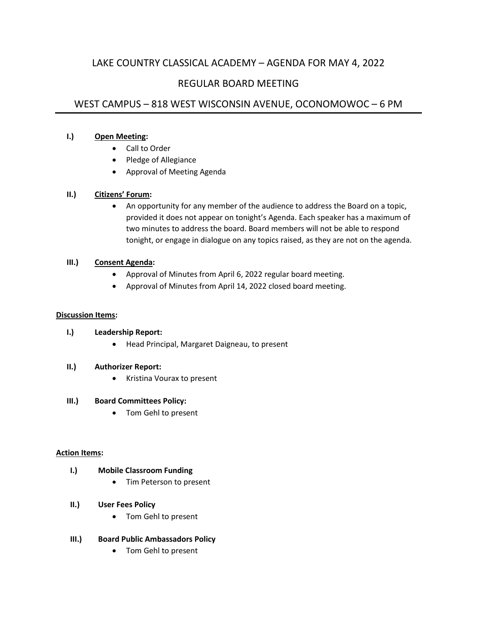# LAKE COUNTRY CLASSICAL ACADEMY – AGENDA FOR MAY 4, 2022

## REGULAR BOARD MEETING

## WEST CAMPUS – 818 WEST WISCONSIN AVENUE, OCONOMOWOC – 6 PM

#### **I.) Open Meeting:**

- Call to Order
- Pledge of Allegiance
- Approval of Meeting Agenda

#### **II.) Citizens' Forum:**

• An opportunity for any member of the audience to address the Board on a topic, provided it does not appear on tonight's Agenda. Each speaker has a maximum of two minutes to address the board. Board members will not be able to respond tonight, or engage in dialogue on any topics raised, as they are not on the agenda.

#### **III.) Consent Agenda:**

- Approval of Minutes from April 6, 2022 regular board meeting.
- Approval of Minutes from April 14, 2022 closed board meeting.

#### **Discussion Items:**

## **I.) Leadership Report:**

• Head Principal, Margaret Daigneau, to present

## **II.) Authorizer Report:**

• Kristina Vourax to present

#### **III.) Board Committees Policy:**

• Tom Gehl to present

#### **Action Items:**

#### **I.) Mobile Classroom Funding**

- Tim Peterson to present
- **II.) User Fees Policy**
	- Tom Gehl to present

## **III.) Board Public Ambassadors Policy**

• Tom Gehl to present